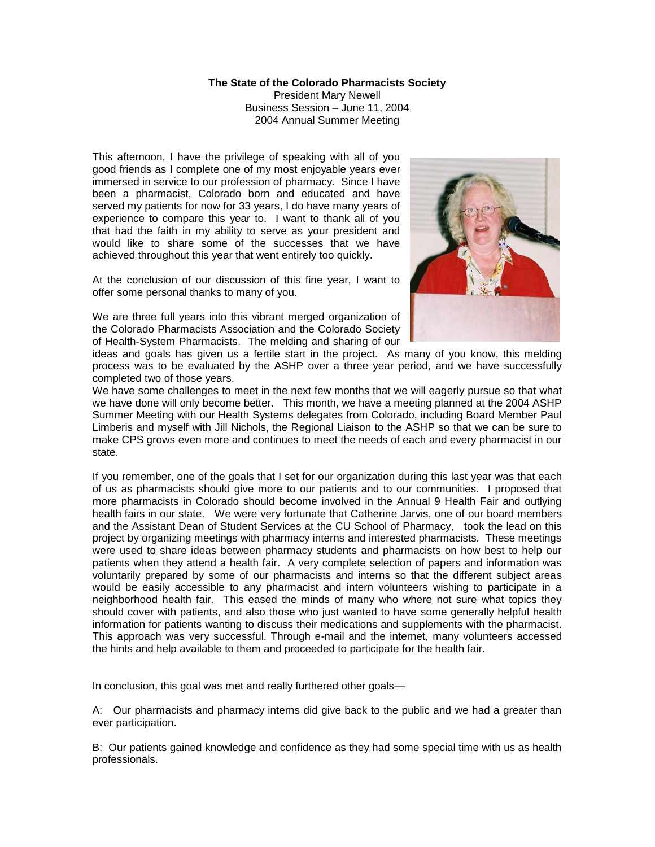## **The State of the Colorado Pharmacists Society**

President Mary Newell Business Session – June 11, 2004 2004 Annual Summer Meeting

This afternoon, I have the privilege of speaking with all of you good friends as I complete one of my most enjoyable years ever immersed in service to our profession of pharmacy. Since I have been a pharmacist, Colorado born and educated and have served my patients for now for 33 years, I do have many years of experience to compare this year to. I want to thank all of you that had the faith in my ability to serve as your president and would like to share some of the successes that we have achieved throughout this year that went entirely too quickly.

At the conclusion of our discussion of this fine year, I want to offer some personal thanks to many of you.

We are three full years into this vibrant merged organization of the Colorado Pharmacists Association and the Colorado Society of Health-System Pharmacists. The melding and sharing of our



ideas and goals has given us a fertile start in the project. As many of you know, this melding process was to be evaluated by the ASHP over a three year period, and we have successfully completed two of those years.

We have some challenges to meet in the next few months that we will eagerly pursue so that what we have done will only become better. This month, we have a meeting planned at the 2004 ASHP Summer Meeting with our Health Systems delegates from Colorado, including Board Member Paul Limberis and myself with Jill Nichols, the Regional Liaison to the ASHP so that we can be sure to make CPS grows even more and continues to meet the needs of each and every pharmacist in our state.

If you remember, one of the goals that I set for our organization during this last year was that each of us as pharmacists should give more to our patients and to our communities. I proposed that more pharmacists in Colorado should become involved in the Annual 9 Health Fair and outlying health fairs in our state. We were very fortunate that Catherine Jarvis, one of our board members and the Assistant Dean of Student Services at the CU School of Pharmacy, took the lead on this project by organizing meetings with pharmacy interns and interested pharmacists. These meetings were used to share ideas between pharmacy students and pharmacists on how best to help our patients when they attend a health fair. A very complete selection of papers and information was voluntarily prepared by some of our pharmacists and interns so that the different subject areas would be easily accessible to any pharmacist and intern volunteers wishing to participate in a neighborhood health fair. This eased the minds of many who where not sure what topics they should cover with patients, and also those who just wanted to have some generally helpful health information for patients wanting to discuss their medications and supplements with the pharmacist. This approach was very successful. Through e-mail and the internet, many volunteers accessed the hints and help available to them and proceeded to participate for the health fair.

In conclusion, this goal was met and really furthered other goals—

A: Our pharmacists and pharmacy interns did give back to the public and we had a greater than ever participation.

B: Our patients gained knowledge and confidence as they had some special time with us as health professionals.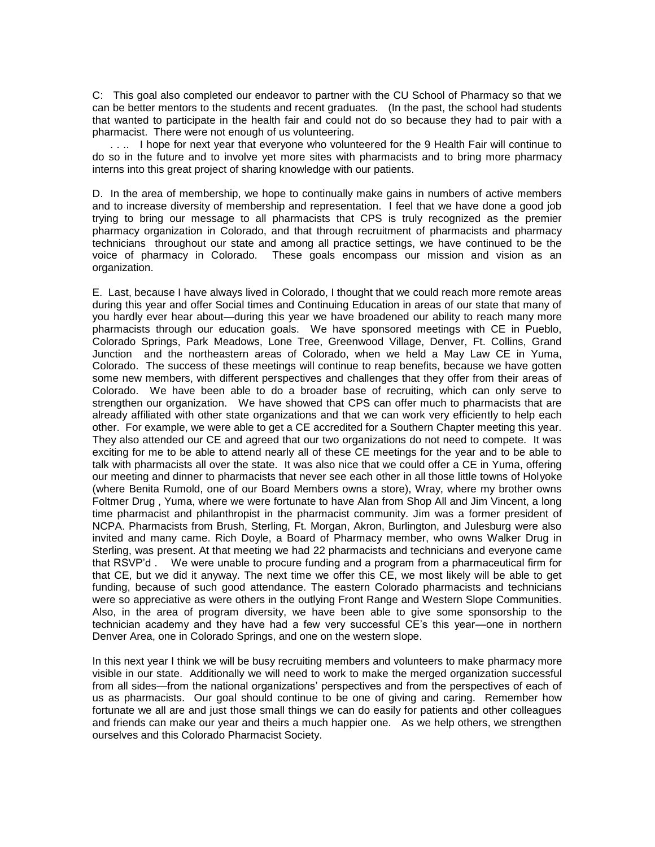C: This goal also completed our endeavor to partner with the CU School of Pharmacy so that we can be better mentors to the students and recent graduates. (In the past, the school had students that wanted to participate in the health fair and could not do so because they had to pair with a pharmacist. There were not enough of us volunteering.

 . . .. I hope for next year that everyone who volunteered for the 9 Health Fair will continue to do so in the future and to involve yet more sites with pharmacists and to bring more pharmacy interns into this great project of sharing knowledge with our patients.

D. In the area of membership, we hope to continually make gains in numbers of active members and to increase diversity of membership and representation. I feel that we have done a good job trying to bring our message to all pharmacists that CPS is truly recognized as the premier pharmacy organization in Colorado, and that through recruitment of pharmacists and pharmacy technicians throughout our state and among all practice settings, we have continued to be the voice of pharmacy in Colorado. These goals encompass our mission and vision as an organization.

E. Last, because I have always lived in Colorado, I thought that we could reach more remote areas during this year and offer Social times and Continuing Education in areas of our state that many of you hardly ever hear about—during this year we have broadened our ability to reach many more pharmacists through our education goals. We have sponsored meetings with CE in Pueblo, Colorado Springs, Park Meadows, Lone Tree, Greenwood Village, Denver, Ft. Collins, Grand Junction and the northeastern areas of Colorado, when we held a May Law CE in Yuma, Colorado. The success of these meetings will continue to reap benefits, because we have gotten some new members, with different perspectives and challenges that they offer from their areas of Colorado. We have been able to do a broader base of recruiting, which can only serve to strengthen our organization. We have showed that CPS can offer much to pharmacists that are already affiliated with other state organizations and that we can work very efficiently to help each other. For example, we were able to get a CE accredited for a Southern Chapter meeting this year. They also attended our CE and agreed that our two organizations do not need to compete. It was exciting for me to be able to attend nearly all of these CE meetings for the year and to be able to talk with pharmacists all over the state. It was also nice that we could offer a CE in Yuma, offering our meeting and dinner to pharmacists that never see each other in all those little towns of Holyoke (where Benita Rumold, one of our Board Members owns a store), Wray, where my brother owns Foltmer Drug , Yuma, where we were fortunate to have Alan from Shop All and Jim Vincent, a long time pharmacist and philanthropist in the pharmacist community. Jim was a former president of NCPA. Pharmacists from Brush, Sterling, Ft. Morgan, Akron, Burlington, and Julesburg were also invited and many came. Rich Doyle, a Board of Pharmacy member, who owns Walker Drug in Sterling, was present. At that meeting we had 22 pharmacists and technicians and everyone came that RSVP'd . We were unable to procure funding and a program from a pharmaceutical firm for that CE, but we did it anyway. The next time we offer this CE, we most likely will be able to get funding, because of such good attendance. The eastern Colorado pharmacists and technicians were so appreciative as were others in the outlying Front Range and Western Slope Communities. Also, in the area of program diversity, we have been able to give some sponsorship to the technician academy and they have had a few very successful CE's this year—one in northern Denver Area, one in Colorado Springs, and one on the western slope.

In this next year I think we will be busy recruiting members and volunteers to make pharmacy more visible in our state. Additionally we will need to work to make the merged organization successful from all sides—from the national organizations' perspectives and from the perspectives of each of us as pharmacists. Our goal should continue to be one of giving and caring. Remember how fortunate we all are and just those small things we can do easily for patients and other colleagues and friends can make our year and theirs a much happier one. As we help others, we strengthen ourselves and this Colorado Pharmacist Society.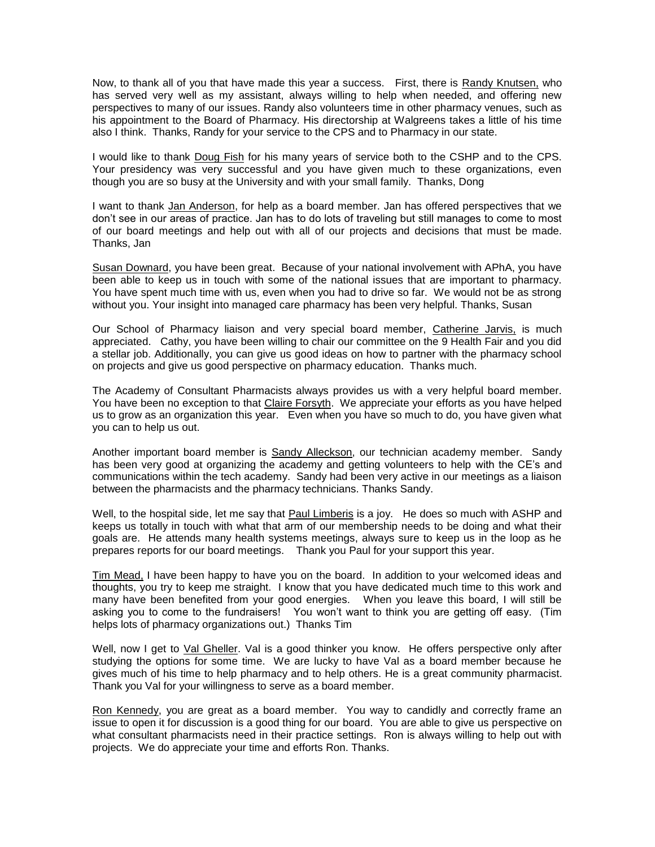Now, to thank all of you that have made this year a success. First, there is Randy Knutsen, who has served very well as my assistant, always willing to help when needed, and offering new perspectives to many of our issues. Randy also volunteers time in other pharmacy venues, such as his appointment to the Board of Pharmacy. His directorship at Walgreens takes a little of his time also I think. Thanks, Randy for your service to the CPS and to Pharmacy in our state.

I would like to thank Doug Fish for his many years of service both to the CSHP and to the CPS. Your presidency was very successful and you have given much to these organizations, even though you are so busy at the University and with your small family. Thanks, Dong

I want to thank Jan Anderson, for help as a board member. Jan has offered perspectives that we don't see in our areas of practice. Jan has to do lots of traveling but still manages to come to most of our board meetings and help out with all of our projects and decisions that must be made. Thanks, Jan

Susan Downard, you have been great. Because of your national involvement with APhA, you have been able to keep us in touch with some of the national issues that are important to pharmacy. You have spent much time with us, even when you had to drive so far. We would not be as strong without you. Your insight into managed care pharmacy has been very helpful. Thanks, Susan

Our School of Pharmacy liaison and very special board member, Catherine Jarvis, is much appreciated. Cathy, you have been willing to chair our committee on the 9 Health Fair and you did a stellar job. Additionally, you can give us good ideas on how to partner with the pharmacy school on projects and give us good perspective on pharmacy education. Thanks much.

The Academy of Consultant Pharmacists always provides us with a very helpful board member. You have been no exception to that Claire Forsyth. We appreciate your efforts as you have helped us to grow as an organization this year. Even when you have so much to do, you have given what you can to help us out.

Another important board member is Sandy Alleckson, our technician academy member. Sandy has been very good at organizing the academy and getting volunteers to help with the CE's and communications within the tech academy. Sandy had been very active in our meetings as a liaison between the pharmacists and the pharmacy technicians. Thanks Sandy.

Well, to the hospital side, let me say that Paul Limberis is a joy. He does so much with ASHP and keeps us totally in touch with what that arm of our membership needs to be doing and what their goals are. He attends many health systems meetings, always sure to keep us in the loop as he prepares reports for our board meetings. Thank you Paul for your support this year.

Tim Mead, I have been happy to have you on the board. In addition to your welcomed ideas and thoughts, you try to keep me straight. I know that you have dedicated much time to this work and many have been benefited from your good energies. When you leave this board, I will still be asking you to come to the fundraisers! You won't want to think you are getting off easy. (Tim helps lots of pharmacy organizations out.) Thanks Tim

Well, now I get to Val Gheller. Val is a good thinker you know. He offers perspective only after studying the options for some time. We are lucky to have Val as a board member because he gives much of his time to help pharmacy and to help others. He is a great community pharmacist. Thank you Val for your willingness to serve as a board member.

Ron Kennedy, you are great as a board member. You way to candidly and correctly frame an issue to open it for discussion is a good thing for our board. You are able to give us perspective on what consultant pharmacists need in their practice settings. Ron is always willing to help out with projects. We do appreciate your time and efforts Ron. Thanks.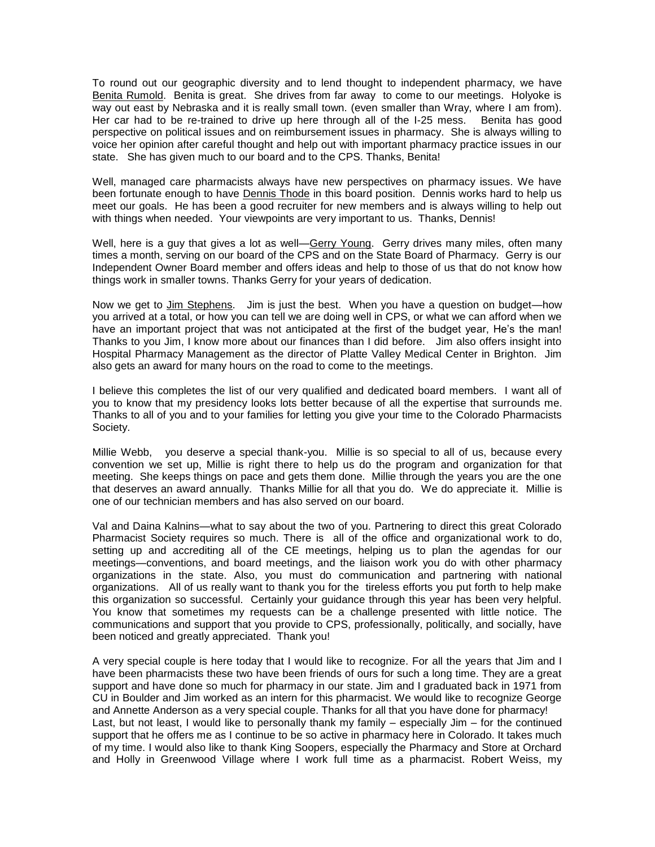To round out our geographic diversity and to lend thought to independent pharmacy, we have Benita Rumold. Benita is great. She drives from far away to come to our meetings. Holyoke is way out east by Nebraska and it is really small town. (even smaller than Wray, where I am from). Her car had to be re-trained to drive up here through all of the I-25 mess. Benita has good perspective on political issues and on reimbursement issues in pharmacy. She is always willing to voice her opinion after careful thought and help out with important pharmacy practice issues in our state. She has given much to our board and to the CPS. Thanks, Benita!

Well, managed care pharmacists always have new perspectives on pharmacy issues. We have been fortunate enough to have **Dennis Thode** in this board position. Dennis works hard to help us meet our goals. He has been a good recruiter for new members and is always willing to help out with things when needed. Your viewpoints are very important to us. Thanks, Dennis!

Well, here is a guy that gives a lot as well-Gerry Young. Gerry drives many miles, often many times a month, serving on our board of the CPS and on the State Board of Pharmacy. Gerry is our Independent Owner Board member and offers ideas and help to those of us that do not know how things work in smaller towns. Thanks Gerry for your years of dedication.

Now we get to Jim Stephens. Jim is just the best. When you have a question on budget—how you arrived at a total, or how you can tell we are doing well in CPS, or what we can afford when we have an important project that was not anticipated at the first of the budget year, He's the man! Thanks to you Jim, I know more about our finances than I did before. Jim also offers insight into Hospital Pharmacy Management as the director of Platte Valley Medical Center in Brighton. Jim also gets an award for many hours on the road to come to the meetings.

I believe this completes the list of our very qualified and dedicated board members. I want all of you to know that my presidency looks lots better because of all the expertise that surrounds me. Thanks to all of you and to your families for letting you give your time to the Colorado Pharmacists Society.

Millie Webb, you deserve a special thank-you. Millie is so special to all of us, because every convention we set up, Millie is right there to help us do the program and organization for that meeting. She keeps things on pace and gets them done. Millie through the years you are the one that deserves an award annually. Thanks Millie for all that you do. We do appreciate it. Millie is one of our technician members and has also served on our board.

Val and Daina Kalnins—what to say about the two of you. Partnering to direct this great Colorado Pharmacist Society requires so much. There is all of the office and organizational work to do, setting up and accrediting all of the CE meetings, helping us to plan the agendas for our meetings—conventions, and board meetings, and the liaison work you do with other pharmacy organizations in the state. Also, you must do communication and partnering with national organizations. All of us really want to thank you for the tireless efforts you put forth to help make this organization so successful. Certainly your guidance through this year has been very helpful. You know that sometimes my requests can be a challenge presented with little notice. The communications and support that you provide to CPS, professionally, politically, and socially, have been noticed and greatly appreciated. Thank you!

A very special couple is here today that I would like to recognize. For all the years that Jim and I have been pharmacists these two have been friends of ours for such a long time. They are a great support and have done so much for pharmacy in our state. Jim and I graduated back in 1971 from CU in Boulder and Jim worked as an intern for this pharmacist. We would like to recognize George and Annette Anderson as a very special couple. Thanks for all that you have done for pharmacy! Last, but not least, I would like to personally thank my family – especially Jim – for the continued support that he offers me as I continue to be so active in pharmacy here in Colorado. It takes much of my time. I would also like to thank King Soopers, especially the Pharmacy and Store at Orchard and Holly in Greenwood Village where I work full time as a pharmacist. Robert Weiss, my